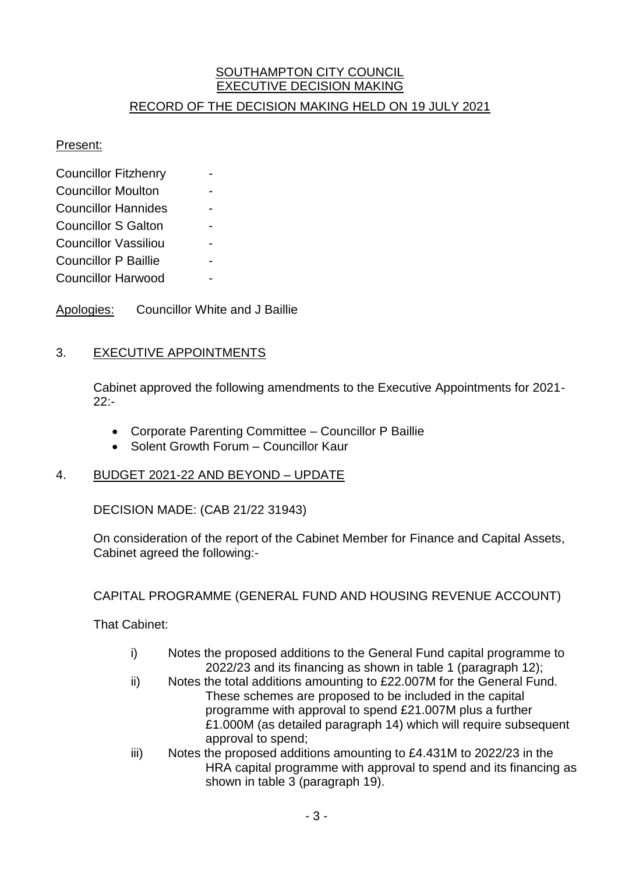# SOUTHAMPTON CITY COUNCIL EXECUTIVE DECISION MAKING

# RECORD OF THE DECISION MAKING HELD ON 19 JULY 2021

#### Present:

| <b>Councillor Fitzhenry</b> |  |
|-----------------------------|--|
| <b>Councillor Moulton</b>   |  |
| <b>Councillor Hannides</b>  |  |
| <b>Councillor S Galton</b>  |  |
| <b>Councillor Vassiliou</b> |  |
| <b>Councillor P Baillie</b> |  |
| <b>Councillor Harwood</b>   |  |
|                             |  |

Apologies: Councillor White and J Baillie

## 3. EXECUTIVE APPOINTMENTS

Cabinet approved the following amendments to the Executive Appointments for 2021- 22:-

- Corporate Parenting Committee Councillor P Baillie
- Solent Growth Forum Councillor Kaur

#### 4. BUDGET 2021-22 AND BEYOND – UPDATE

DECISION MADE: (CAB 21/22 31943)

On consideration of the report of the Cabinet Member for Finance and Capital Assets, Cabinet agreed the following:-

#### CAPITAL PROGRAMME (GENERAL FUND AND HOUSING REVENUE ACCOUNT)

That Cabinet:

- i) Notes the proposed additions to the General Fund capital programme to 2022/23 and its financing as shown in table 1 (paragraph 12);
- ii) Notes the total additions amounting to £22.007M for the General Fund. These schemes are proposed to be included in the capital programme with approval to spend £21.007M plus a further £1.000M (as detailed paragraph 14) which will require subsequent approval to spend;
- iii) Notes the proposed additions amounting to £4.431M to 2022/23 in the HRA capital programme with approval to spend and its financing as shown in table 3 (paragraph 19).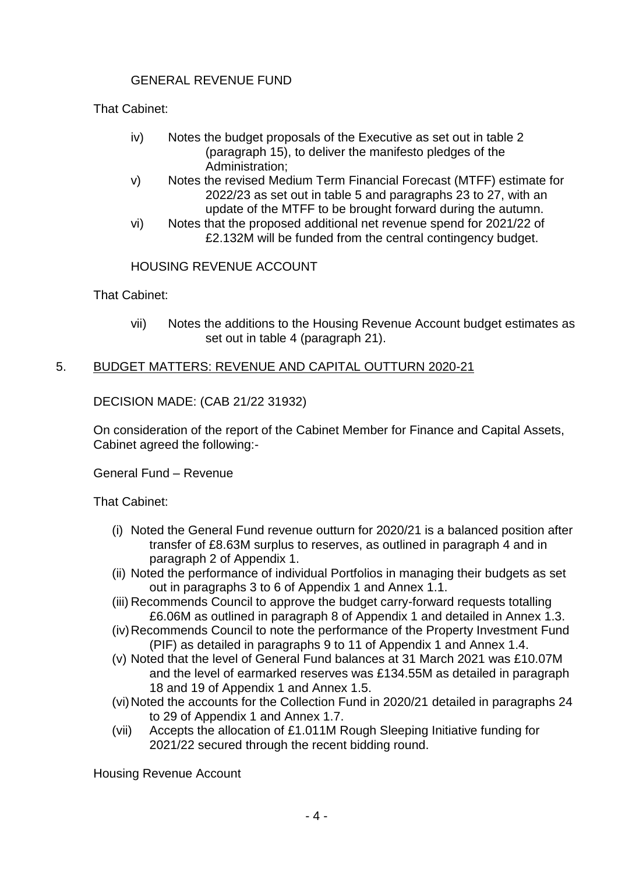# GENERAL REVENUE FUND

That Cabinet:

- iv) Notes the budget proposals of the Executive as set out in table 2 (paragraph 15), to deliver the manifesto pledges of the Administration;
- v) Notes the revised Medium Term Financial Forecast (MTFF) estimate for 2022/23 as set out in table 5 and paragraphs 23 to 27, with an update of the MTFF to be brought forward during the autumn.
- vi) Notes that the proposed additional net revenue spend for 2021/22 of £2.132M will be funded from the central contingency budget.

## HOUSING REVENUE ACCOUNT

That Cabinet:

vii) Notes the additions to the Housing Revenue Account budget estimates as set out in table 4 (paragraph 21).

## 5. BUDGET MATTERS: REVENUE AND CAPITAL OUTTURN 2020-21

DECISION MADE: (CAB 21/22 31932)

On consideration of the report of the Cabinet Member for Finance and Capital Assets, Cabinet agreed the following:-

General Fund – Revenue

That Cabinet:

- (i) Noted the General Fund revenue outturn for 2020/21 is a balanced position after transfer of £8.63M surplus to reserves, as outlined in paragraph 4 and in paragraph 2 of Appendix 1.
- (ii) Noted the performance of individual Portfolios in managing their budgets as set out in paragraphs 3 to 6 of Appendix 1 and Annex 1.1.
- (iii) Recommends Council to approve the budget carry-forward requests totalling £6.06M as outlined in paragraph 8 of Appendix 1 and detailed in Annex 1.3.
- (iv)Recommends Council to note the performance of the Property Investment Fund (PIF) as detailed in paragraphs 9 to 11 of Appendix 1 and Annex 1.4.
- (v) Noted that the level of General Fund balances at 31 March 2021 was £10.07M and the level of earmarked reserves was £134.55M as detailed in paragraph 18 and 19 of Appendix 1 and Annex 1.5.
- (vi) Noted the accounts for the Collection Fund in 2020/21 detailed in paragraphs 24 to 29 of Appendix 1 and Annex 1.7.
- (vii) Accepts the allocation of £1.011M Rough Sleeping Initiative funding for 2021/22 secured through the recent bidding round.

Housing Revenue Account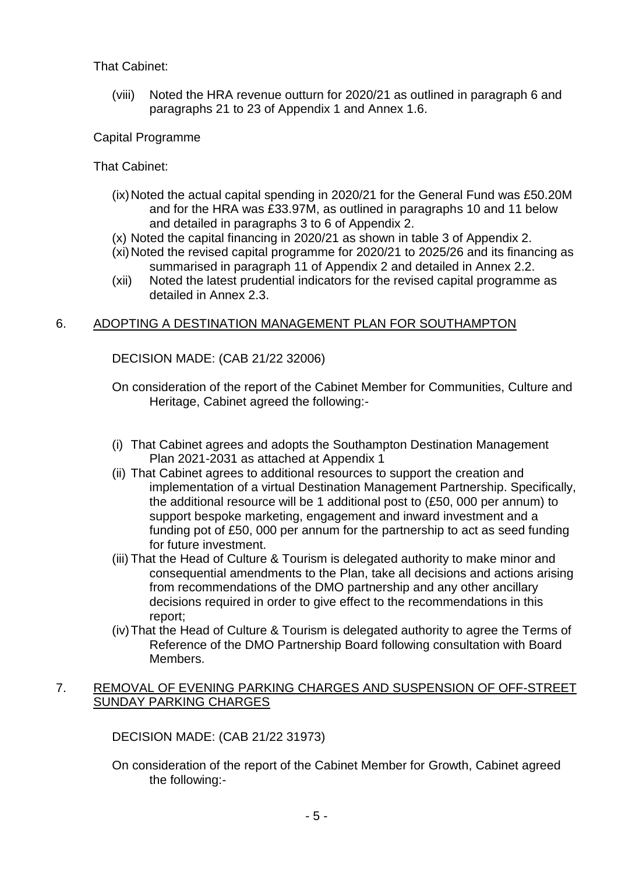That Cabinet:

(viii) Noted the HRA revenue outturn for 2020/21 as outlined in paragraph 6 and paragraphs 21 to 23 of Appendix 1 and Annex 1.6.

## Capital Programme

## That Cabinet:

- (ix) Noted the actual capital spending in 2020/21 for the General Fund was £50.20M and for the HRA was £33.97M, as outlined in paragraphs 10 and 11 below and detailed in paragraphs 3 to 6 of Appendix 2.
- (x) Noted the capital financing in 2020/21 as shown in table 3 of Appendix 2.
- (xi) Noted the revised capital programme for 2020/21 to 2025/26 and its financing as summarised in paragraph 11 of Appendix 2 and detailed in Annex 2.2.
- (xii) Noted the latest prudential indicators for the revised capital programme as detailed in Annex 2.3.

## 6. ADOPTING A DESTINATION MANAGEMENT PLAN FOR SOUTHAMPTON

DECISION MADE: (CAB 21/22 32006)

On consideration of the report of the Cabinet Member for Communities, Culture and Heritage, Cabinet agreed the following:-

- (i) That Cabinet agrees and adopts the Southampton Destination Management Plan 2021-2031 as attached at Appendix 1
- (ii) That Cabinet agrees to additional resources to support the creation and implementation of a virtual Destination Management Partnership. Specifically, the additional resource will be 1 additional post to (£50, 000 per annum) to support bespoke marketing, engagement and inward investment and a funding pot of £50, 000 per annum for the partnership to act as seed funding for future investment.
- (iii) That the Head of Culture & Tourism is delegated authority to make minor and consequential amendments to the Plan, take all decisions and actions arising from recommendations of the DMO partnership and any other ancillary decisions required in order to give effect to the recommendations in this report;
- (iv)That the Head of Culture & Tourism is delegated authority to agree the Terms of Reference of the DMO Partnership Board following consultation with Board **Members**

## 7. REMOVAL OF EVENING PARKING CHARGES AND SUSPENSION OF OFF-STREET SUNDAY PARKING CHARGES

DECISION MADE: (CAB 21/22 31973)

On consideration of the report of the Cabinet Member for Growth, Cabinet agreed the following:-